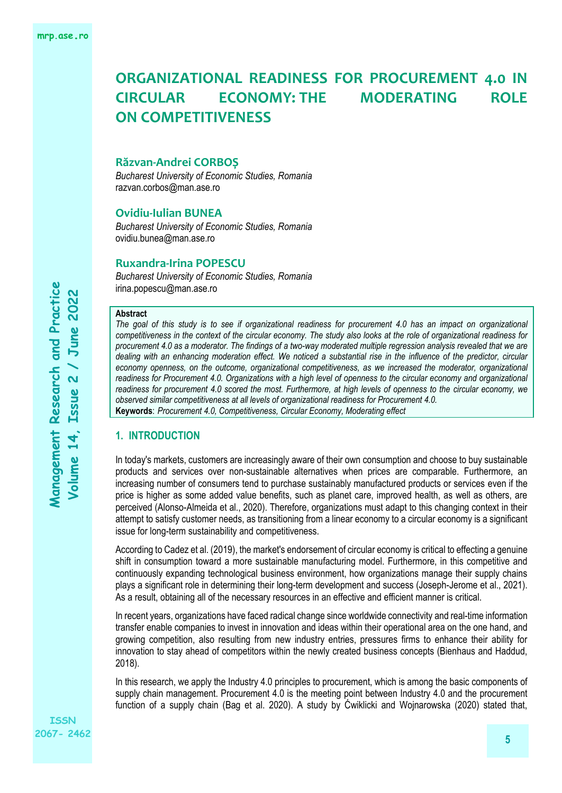### **Răzvan-Andrei CORBOȘ**

*Bucharest University of Economic Studies, Romania* razvan.corbos@man.ase.ro

### **Ovidiu-Iulian BUNEA**

*Bucharest University of Economic Studies, Romania* [ovidiu.bunea@man.ase.ro](mailto:ovidiu.bunea@man.ase.ro)

### **Ruxandra-Irina POPESCU**

*Bucharest University of Economic Studies, Romania* irina.popescu@man.ase.ro

#### **Abstract**

*The goal of this study is to see if organizational readiness for procurement 4.0 has an impact on organizational competitiveness in the context of the circular economy. The study also looks at the role of organizational readiness for procurement 4.0 as a moderator. The findings of a two-way moderated multiple regression analysis revealed that we are dealing with an enhancing moderation effect. We noticed a substantial rise in the influence of the predictor, circular economy openness, on the outcome, organizational competitiveness, as we increased the moderator, organizational readiness for Procurement 4.0. Organizations with a high level of openness to the circular economy and organizational readiness for procurement 4.0 scored the most. Furthermore, at high levels of openness to the circular economy, we observed similar competitiveness at all levels of organizational readiness for Procurement 4.0.* **Keywords**: *Procurement 4.0, Competitiveness, Circular Economy, Moderating effect*

### **1. INTRODUCTION**

In today's markets, customers are increasingly aware of their own consumption and choose to buy sustainable products and services over non-sustainable alternatives when prices are comparable. Furthermore, an increasing number of consumers tend to purchase sustainably manufactured products or services even if the price is higher as some added value benefits, such as planet care, improved health, as well as others, are perceived (Alonso-Almeida et al., 2020). Therefore, organizations must adapt to this changing context in their attempt to satisfy customer needs, as transitioning from a linear economy to a circular economy is a significant issue for long-term sustainability and competitiveness.

According to Cadez et al. (2019), the market's endorsement of circular economy is critical to effecting a genuine shift in consumption toward a more sustainable manufacturing model. Furthermore, in this competitive and continuously expanding technological business environment, how organizations manage their supply chains plays a significant role in determining their long-term development and success (Joseph-Jerome et al., 2021). As a result, obtaining all of the necessary resources in an effective and efficient manner is critical.

In recent years, organizations have faced radical change since worldwide connectivity and real-time information transfer enable companies to invest in innovation and ideas within their operational area on the one hand, and growing competition, also resulting from new industry entries, pressures firms to enhance their ability for innovation to stay ahead of competitors within the newly created business concepts (Bienhaus and Haddud, 2018).

In this research, we apply the Industry 4.0 principles to procurement, which is among the basic components of supply chain management. Procurement 4.0 is the meeting point between Industry 4.0 and the procurement function of a supply chain (Bag et al. 2020). A study by Ćwiklicki and Wojnarowska (2020) stated that,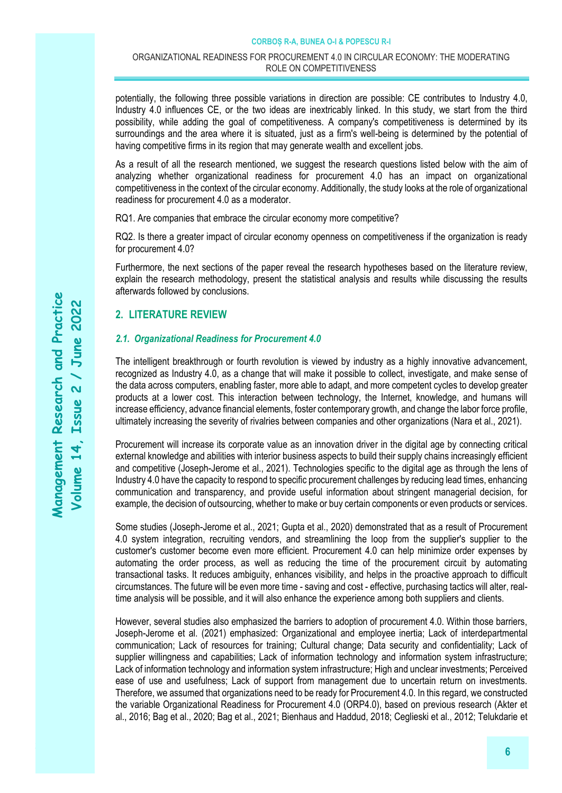potentially, the following three possible variations in direction are possible: CE contributes to Industry 4.0, Industry 4.0 influences CE, or the two ideas are inextricably linked. In this study, we start from the third possibility, while adding the goal of competitiveness. A company's competitiveness is determined by its surroundings and the area where it is situated, just as a firm's well-being is determined by the potential of having competitive firms in its region that may generate wealth and excellent jobs.

As a result of all the research mentioned, we suggest the research questions listed below with the aim of analyzing whether organizational readiness for procurement 4.0 has an impact on organizational competitiveness in the context of the circular economy. Additionally, the study looks at the role of organizational readiness for procurement 4.0 as a moderator.

RQ1. Are companies that embrace the circular economy more competitive?

RQ2. Is there a greater impact of circular economy openness on competitiveness if the organization is ready for procurement 4.0?

Furthermore, the next sections of the paper reveal the research hypotheses based on the literature review, explain the research methodology, present the statistical analysis and results while discussing the results afterwards followed by conclusions.

# **2. LITERATURE REVIEW**

### *2.1. Organizational Readiness for Procurement 4.0*

The intelligent breakthrough or fourth revolution is viewed by industry as a highly innovative advancement, recognized as Industry 4.0, as a change that will make it possible to collect, investigate, and make sense of the data across computers, enabling faster, more able to adapt, and more competent cycles to develop greater products at a lower cost. This interaction between technology, the Internet, knowledge, and humans will increase efficiency, advance financial elements, foster contemporary growth, and change the labor force profile, ultimately increasing the severity of rivalries between companies and other organizations (Nara et al., 2021).

Procurement will increase its corporate value as an innovation driver in the digital age by connecting critical external knowledge and abilities with interior business aspects to build their supply chains increasingly efficient and competitive (Joseph-Jerome et al., 2021). Technologies specific to the digital age as through the lens of Industry 4.0 have the capacity to respond to specific procurement challenges by reducing lead times, enhancing communication and transparency, and provide useful information about stringent managerial decision, for example, the decision of outsourcing, whether to make or buy certain components or even products or services.

Some studies (Joseph-Jerome et al., 2021; Gupta et al., 2020) demonstrated that as a result of Procurement 4.0 system integration, recruiting vendors, and streamlining the loop from the supplier's supplier to the customer's customer become even more efficient. Procurement 4.0 can help minimize order expenses by automating the order process, as well as reducing the time of the procurement circuit by automating transactional tasks. It reduces ambiguity, enhances visibility, and helps in the proactive approach to difficult circumstances. The future will be even more time - saving and cost - effective, purchasing tactics will alter, realtime analysis will be possible, and it will also enhance the experience among both suppliers and clients.

However, several studies also emphasized the barriers to adoption of procurement 4.0. Within those barriers, Joseph-Jerome et al. (2021) emphasized: Organizational and employee inertia; Lack of interdepartmental communication; Lack of resources for training; Cultural change; Data security and confidentiality; Lack of supplier willingness and capabilities; Lack of information technology and information system infrastructure; Lack of information technology and information system infrastructure; High and unclear investments; Perceived ease of use and usefulness; Lack of support from management due to uncertain return on investments. Therefore, we assumed that organizations need to be ready for Procurement 4.0. In this regard, we constructed the variable Organizational Readiness for Procurement 4.0 (ORP4.0), based on previous research (Akter et al., 2016; Bag et al., 2020; Bag et al., 2021; Bienhaus and Haddud, 2018; Ceglieski et al., 2012; Telukdarie et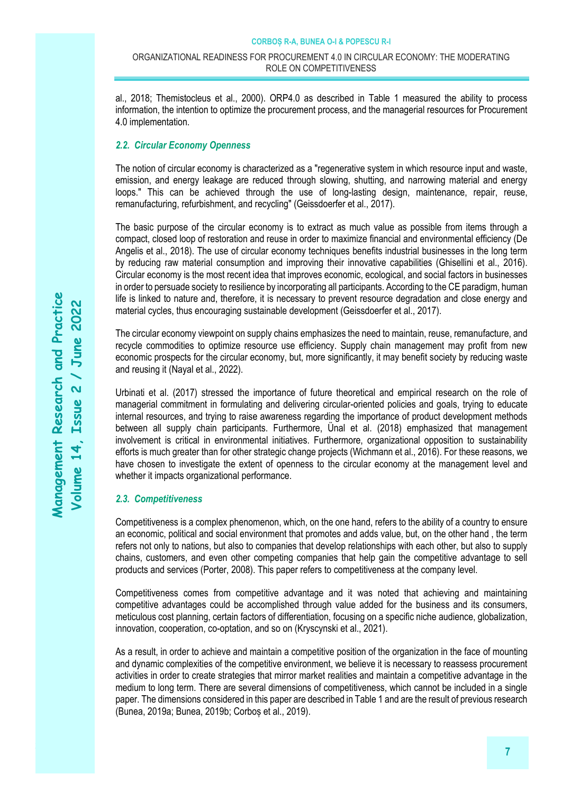al., 2018; Themistocleus et al., 2000). ORP4.0 as described in Table 1 measured the ability to process information, the intention to optimize the procurement process, and the managerial resources for Procurement 4.0 implementation.

### *2.2. Circular Economy Openness*

The notion of circular economy is characterized as a "regenerative system in which resource input and waste, emission, and energy leakage are reduced through slowing, shutting, and narrowing material and energy loops." This can be achieved through the use of long-lasting design, maintenance, repair, reuse, remanufacturing, refurbishment, and recycling" (Geissdoerfer et al., 2017).

The basic purpose of the circular economy is to extract as much value as possible from items through a compact, closed loop of restoration and reuse in order to maximize financial and environmental efficiency (De Angelis et al., 2018). The use of circular economy techniques benefits industrial businesses in the long term by reducing raw material consumption and improving their innovative capabilities (Ghisellini et al., 2016). Circular economy is the most recent idea that improves economic, ecological, and social factors in businesses in order to persuade society to resilience by incorporating all participants. According to the CE paradigm, human life is linked to nature and, therefore, it is necessary to prevent resource degradation and close energy and material cycles, thus encouraging sustainable development (Geissdoerfer et al., 2017).

The circular economy viewpoint on supply chains emphasizes the need to maintain, reuse, remanufacture, and recycle commodities to optimize resource use efficiency. Supply chain management may profit from new economic prospects for the circular economy, but, more significantly, it may benefit society by reducing waste and reusing it (Nayal et al., 2022).

Urbinati et al. (2017) stressed the importance of future theoretical and empirical research on the role of managerial commitment in formulating and delivering circular-oriented policies and goals, trying to educate internal resources, and trying to raise awareness regarding the importance of product development methods between all supply chain participants. Furthermore, Ünal et al. (2018) emphasized that management involvement is critical in environmental initiatives. Furthermore, organizational opposition to sustainability efforts is much greater than for other strategic change projects (Wichmann et al., 2016). For these reasons, we have chosen to investigate the extent of openness to the circular economy at the management level and whether it impacts organizational performance.

### *2.3. Competitiveness*

Competitiveness is a complex phenomenon, which, on the one hand, refers to the ability of a country to ensure an economic, political and social environment that promotes and adds value, but, on the other hand , the term refers not only to nations, but also to companies that develop relationships with each other, but also to supply chains, customers, and even other competing companies that help gain the competitive advantage to sell products and services (Porter, 2008). This paper refers to competitiveness at the company level.

Competitiveness comes from competitive advantage and it was noted that achieving and maintaining competitive advantages could be accomplished through value added for the business and its consumers, meticulous cost planning, certain factors of differentiation, focusing on a specific niche audience, globalization, innovation, cooperation, co-optation, and so on (Kryscynski et al., 2021).

As a result, in order to achieve and maintain a competitive position of the organization in the face of mounting and dynamic complexities of the competitive environment, we believe it is necessary to reassess procurement activities in order to create strategies that mirror market realities and maintain a competitive advantage in the medium to long term. There are several dimensions of competitiveness, which cannot be included in a single paper. The dimensions considered in this paper are described in Table 1 and are the result of previous research (Bunea, 2019a; Bunea, 2019b; Corboș et al., 2019).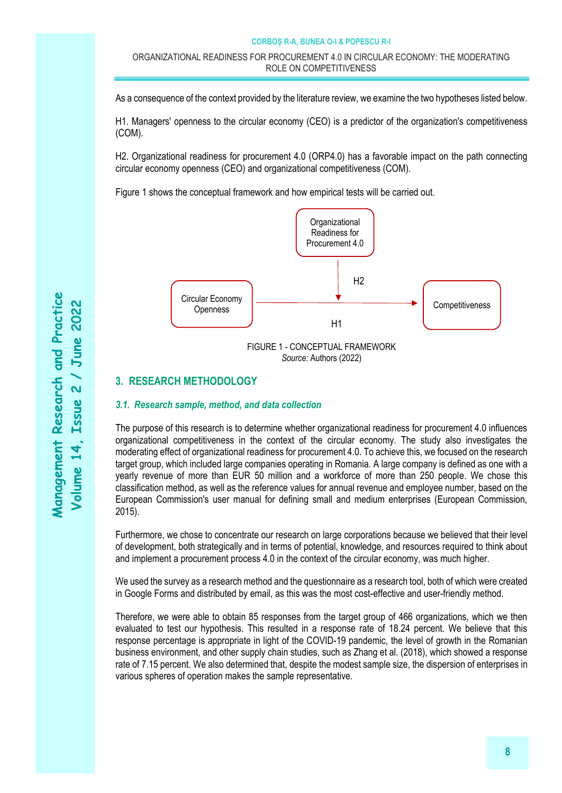#### ORGANIZATIONAL READINESS FOR PROCUREMENT 4.0 IN CIRCULAR ECONOMY: THE MODERATING ROLE ON COMPETITIVENESS

As a consequence of the context provided by the literature review, we examine the two hypotheses listed below.

H1. Managers' openness to the circular economy (CEO) is a predictor of the organization's competitiveness (COM).

H2. Organizational readiness for procurement 4.0 (ORP4.0) has a favorable impact on the path connecting circular economy openness (CEO) and organizational competitiveness (COM).

Figure 1 shows the conceptual framework and how empirical tests will be carried out.



# **3. RESEARCH METHODOLOGY**

### *3.1. Research sample, method, and data collection*

The purpose of this research is to determine whether organizational readiness for procurement 4.0 influences organizational competitiveness in the context of the circular economy. The study also investigates the moderating effect of organizational readiness for procurement 4.0. To achieve this, we focused on the research target group, which included large companies operating in Romania. A large company is defined as one with a yearly revenue of more than EUR 50 million and a workforce of more than 250 people. We chose this classification method, as well as the reference values for annual revenue and employee number, based on the European Commission's user manual for defining small and medium enterprises (European Commission, 2015).

Furthermore, we chose to concentrate our research on large corporations because we believed that their level of development, both strategically and in terms of potential, knowledge, and resources required to think about and implement a procurement process 4.0 in the context of the circular economy, was much higher.

We used the survey as a research method and the questionnaire as a research tool, both of which were created in Google Forms and distributed by email, as this was the most cost-effective and user-friendly method.

Therefore, we were able to obtain 85 responses from the target group of 466 organizations, which we then evaluated to test our hypothesis. This resulted in a response rate of 18.24 percent. We believe that this response percentage is appropriate in light of the COVID-19 pandemic, the level of growth in the Romanian business environment, and other supply chain studies, such as Zhang et al. (2018), which showed a response rate of 7.15 percent. We also determined that, despite the modest sample size, the dispersion of enterprises in various spheres of operation makes the sample representative.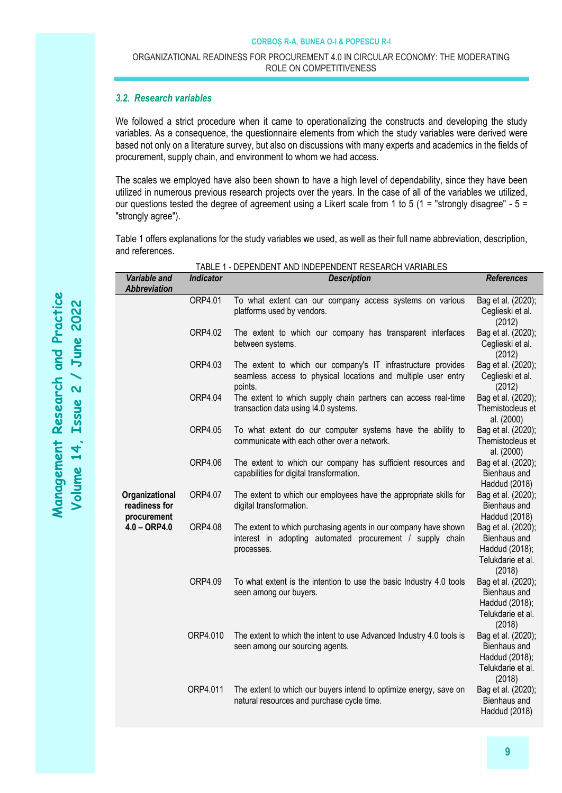### *3.2. Research variables*

We followed a strict procedure when it came to operationalizing the constructs and developing the study variables. As a consequence, the questionnaire elements from which the study variables were derived were based not only on a literature survey, but also on discussions with many experts and academics in the fields of procurement, supply chain, and environment to whom we had access.

The scales we employed have also been shown to have a high level of dependability, since they have been utilized in numerous previous research projects over the years. In the case of all of the variables we utilized, our questions tested the degree of agreement using a Likert scale from 1 to 5 (1 = "strongly disagree" -  $5 =$ "strongly agree").

Table 1 offers explanations for the study variables we used, as well as their full name abbreviation, description, and references.

TABLE 1 - DEPENDENT AND INDEPENDENT RESEARCH VARIABLES

| Variable and<br><b>Abbreviation</b>                              | <b>Indicator</b> | <b>Description</b>                                                                                                                         | <b>References</b>                                                                   |  |
|------------------------------------------------------------------|------------------|--------------------------------------------------------------------------------------------------------------------------------------------|-------------------------------------------------------------------------------------|--|
|                                                                  | ORP4.01          | To what extent can our company access systems on various<br>platforms used by vendors.                                                     | Bag et al. (2020);<br>Ceglieski et al.<br>(2012)                                    |  |
|                                                                  | ORP4.02          | The extent to which our company has transparent interfaces<br>between systems.                                                             | Bag et al. (2020);<br>Ceglieski et al.<br>(2012)                                    |  |
|                                                                  | ORP4.03          | The extent to which our company's IT infrastructure provides<br>seamless access to physical locations and multiple user entry<br>points.   | Bag et al. (2020);<br>Ceglieski et al.<br>(2012)                                    |  |
|                                                                  | ORP4.04          | The extent to which supply chain partners can access real-time<br>transaction data using I4.0 systems.                                     | Bag et al. (2020);<br>Themistocleus et<br>al. (2000)                                |  |
|                                                                  | ORP4.05          | To what extent do our computer systems have the ability to<br>communicate with each other over a network.                                  | Bag et al. (2020);<br>Themistocleus et<br>al. (2000)                                |  |
|                                                                  | ORP4.06          | The extent to which our company has sufficient resources and<br>capabilities for digital transformation.                                   | Bag et al. (2020);<br>Bienhaus and<br>Haddud (2018)                                 |  |
| Organizational<br>readiness for<br>procurement<br>$4.0 - ORP4.0$ | ORP4.07          | The extent to which our employees have the appropriate skills for<br>digital transformation.                                               | Bag et al. (2020);<br>Bienhaus and<br>Haddud (2018)                                 |  |
|                                                                  | ORP4.08          | The extent to which purchasing agents in our company have shown<br>interest in adopting automated procurement / supply chain<br>processes. | Bag et al. (2020);<br>Bienhaus and<br>Haddud (2018);<br>Telukdarie et al.<br>(2018) |  |
|                                                                  | ORP4.09          | To what extent is the intention to use the basic Industry 4.0 tools<br>seen among our buyers.                                              | Bag et al. (2020);<br>Bienhaus and<br>Haddud (2018);<br>Telukdarie et al.<br>(2018) |  |
|                                                                  | ORP4.010         | The extent to which the intent to use Advanced Industry 4.0 tools is<br>seen among our sourcing agents.                                    | Bag et al. (2020);<br>Bienhaus and<br>Haddud (2018);<br>Telukdarie et al.           |  |
|                                                                  | ORP4.011         | The extent to which our buyers intend to optimize energy, save on<br>natural resources and purchase cycle time.                            | (2018)<br>Bag et al. (2020);<br>Bienhaus and<br>Haddud (2018)                       |  |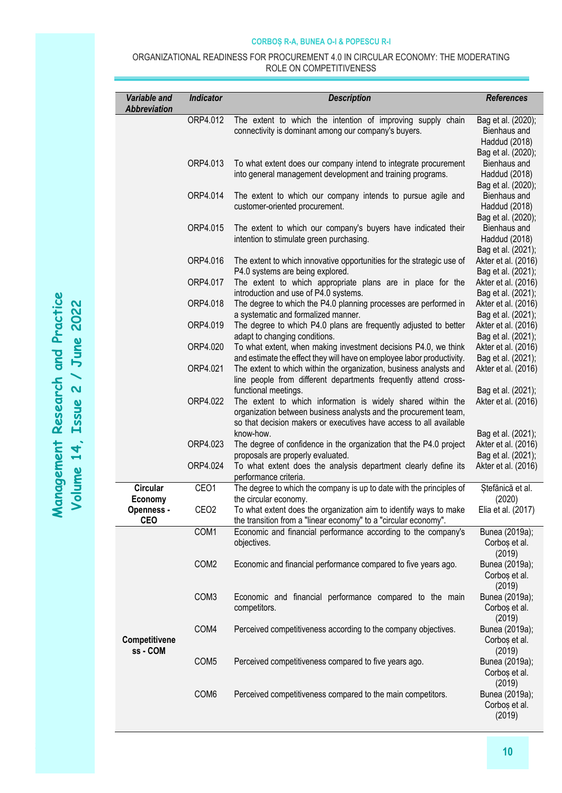#### ORGANIZATIONAL READINESS FOR PROCUREMENT 4.0 IN CIRCULAR ECONOMY: THE MODERATING ROLE ON COMPETITIVENESS

| Variable and<br><b>Abbreviation</b> | <b>Indicator</b> | <b>Description</b>                                                                                                                                                                                    | <b>References</b>                                                         |
|-------------------------------------|------------------|-------------------------------------------------------------------------------------------------------------------------------------------------------------------------------------------------------|---------------------------------------------------------------------------|
|                                     | ORP4.012         | The extent to which the intention of improving supply chain<br>connectivity is dominant among our company's buyers.                                                                                   | Bag et al. (2020);<br>Bienhaus and<br>Haddud (2018)<br>Bag et al. (2020); |
|                                     | ORP4.013         | To what extent does our company intend to integrate procurement<br>into general management development and training programs.                                                                         | Bienhaus and<br>Haddud (2018)<br>Bag et al. (2020);                       |
|                                     | ORP4.014         | The extent to which our company intends to pursue agile and<br>customer-oriented procurement.                                                                                                         | Bienhaus and<br>Haddud (2018)<br>Bag et al. (2020);                       |
|                                     | ORP4.015         | The extent to which our company's buyers have indicated their<br>intention to stimulate green purchasing.                                                                                             | Bienhaus and<br>Haddud (2018)<br>Bag et al. (2021);                       |
|                                     | ORP4.016         | The extent to which innovative opportunities for the strategic use of<br>P4.0 systems are being explored.                                                                                             | Akter et al. (2016)<br>Bag et al. (2021);                                 |
|                                     | ORP4.017         | The extent to which appropriate plans are in place for the<br>introduction and use of P4.0 systems.                                                                                                   | Akter et al. (2016)<br>Bag et al. (2021);                                 |
|                                     | ORP4.018         | The degree to which the P4.0 planning processes are performed in<br>a systematic and formalized manner.                                                                                               | Akter et al. (2016)<br>Bag et al. (2021);                                 |
|                                     | ORP4.019         | The degree to which P4.0 plans are frequently adjusted to better<br>adapt to changing conditions.                                                                                                     | Akter et al. (2016)<br>Bag et al. (2021);                                 |
|                                     | ORP4.020         | To what extent, when making investment decisions P4.0, we think<br>and estimate the effect they will have on employee labor productivity.                                                             | Akter et al. (2016)<br>Bag et al. (2021);                                 |
|                                     | ORP4.021         | The extent to which within the organization, business analysts and<br>line people from different departments frequently attend cross-<br>functional meetings.                                         | Akter et al. (2016)<br>Bag et al. (2021);                                 |
|                                     | ORP4.022         | The extent to which information is widely shared within the<br>organization between business analysts and the procurement team,<br>so that decision makers or executives have access to all available | Akter et al. (2016)                                                       |
|                                     | ORP4.023         | know-how.<br>The degree of confidence in the organization that the P4.0 project<br>proposals are properly evaluated.                                                                                  | Bag et al. (2021);<br>Akter et al. (2016)<br>Bag et al. (2021);           |
|                                     | ORP4.024         | To what extent does the analysis department clearly define its<br>performance criteria.                                                                                                               | Akter et al. (2016)                                                       |
| <b>Circular</b><br>Economy          | CEO1             | The degree to which the company is up to date with the principles of<br>the circular economy.                                                                                                         | Ștefănică et al.<br>(2020)                                                |
| Openness<br><b>CEO</b>              | CEO <sub>2</sub> | To what extent does the organization aim to identify ways to make<br>the transition from a "linear economy" to a "circular economy".                                                                  | Elia et al. (2017)                                                        |
|                                     | COM1             | Economic and financial performance according to the company's<br>objectives.                                                                                                                          | Bunea (2019a);<br>Corboș et al.<br>(2019)                                 |
|                                     | COM <sub>2</sub> | Economic and financial performance compared to five years ago.                                                                                                                                        | Bunea (2019a);<br>Corboș et al.<br>(2019)                                 |
|                                     | COM <sub>3</sub> | Economic and financial performance compared to the main<br>competitors.                                                                                                                               | Bunea (2019a);<br>Corboș et al.<br>(2019)                                 |
| Competitivene<br>ss - COM           | COM4             | Perceived competitiveness according to the company objectives.                                                                                                                                        | Bunea (2019a);<br>Corboș et al.<br>(2019)                                 |
|                                     | COM <sub>5</sub> | Perceived competitiveness compared to five years ago.                                                                                                                                                 | Bunea (2019a);<br>Corboș et al.<br>(2019)                                 |
|                                     | COM6             | Perceived competitiveness compared to the main competitors.                                                                                                                                           | Bunea (2019a);<br>Corboș et al.<br>(2019)                                 |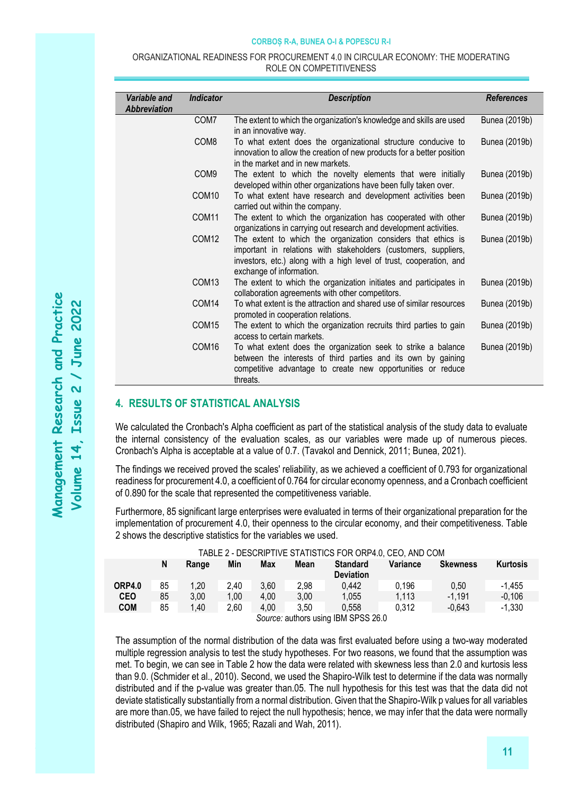#### ORGANIZATIONAL READINESS FOR PROCUREMENT 4.0 IN CIRCULAR ECONOMY: THE MODERATING ROLE ON COMPETITIVENESS

| Variable and<br>Abbreviation | <b>Indicator</b>  | <b>Description</b>                                                                                                                                                                                                                  | <b>References</b> |
|------------------------------|-------------------|-------------------------------------------------------------------------------------------------------------------------------------------------------------------------------------------------------------------------------------|-------------------|
|                              | COM7              | The extent to which the organization's knowledge and skills are used<br>in an innovative way.                                                                                                                                       | Bunea (2019b)     |
|                              | COM <sub>8</sub>  | To what extent does the organizational structure conducive to<br>innovation to allow the creation of new products for a better position<br>in the market and in new markets.                                                        | Bunea (2019b)     |
|                              | COM <sub>9</sub>  | The extent to which the novelty elements that were initially<br>developed within other organizations have been fully taken over.                                                                                                    | Bunea (2019b)     |
|                              | COM <sub>10</sub> | To what extent have research and development activities been<br>carried out within the company.                                                                                                                                     | Bunea (2019b)     |
|                              | COM11             | The extent to which the organization has cooperated with other<br>organizations in carrying out research and development activities.                                                                                                | Bunea (2019b)     |
|                              | COM <sub>12</sub> | The extent to which the organization considers that ethics is<br>important in relations with stakeholders (customers, suppliers,<br>investors, etc.) along with a high level of trust, cooperation, and<br>exchange of information. | Bunea (2019b)     |
|                              | COM <sub>13</sub> | The extent to which the organization initiates and participates in<br>collaboration agreements with other competitors.                                                                                                              | Bunea (2019b)     |
|                              | COM14             | To what extent is the attraction and shared use of similar resources<br>promoted in cooperation relations.                                                                                                                          | Bunea (2019b)     |
|                              | COM <sub>15</sub> | The extent to which the organization recruits third parties to gain<br>access to certain markets.                                                                                                                                   | Bunea (2019b)     |
|                              | COM16             | To what extent does the organization seek to strike a balance<br>between the interests of third parties and its own by gaining<br>competitive advantage to create new opportunities or reduce<br>threats.                           | Bunea (2019b)     |

# **4. RESULTS OF STATISTICAL ANALYSIS**

We calculated the Cronbach's Alpha coefficient as part of the statistical analysis of the study data to evaluate the internal consistency of the evaluation scales, as our variables were made up of numerous pieces. Cronbach's Alpha is acceptable at a value of 0.7. (Tavakol and Dennick, 2011; Bunea, 2021).

The findings we received proved the scales' reliability, as we achieved a coefficient of 0.793 for organizational readiness for procurement 4.0, a coefficient of 0.764 for circular economy openness, and a Cronbach coefficient of 0.890 for the scale that represented the competitiveness variable.

Furthermore, 85 significant large enterprises were evaluated in terms of their organizational preparation for the implementation of procurement 4.0, their openness to the circular economy, and their competitiveness. Table 2 shows the descriptive statistics for the variables we used.

| TABLE Z - DESURIPTIVE STATISTIUS FÜR ÜRP4.0, UEU, AND UUM |    |       |      |        |      |                                     |          |                 |                 |  |
|-----------------------------------------------------------|----|-------|------|--------|------|-------------------------------------|----------|-----------------|-----------------|--|
|                                                           | N  | Range | Min  | Max    | Mean | <b>Standard</b><br><b>Deviation</b> | Variance | <b>Skewness</b> | <b>Kurtosis</b> |  |
| ORP4.0                                                    | 85 | 1,20  | 2.40 | 3.60   | 2,98 | 0.442                               | 0.196    | 0.50            | $-1.455$        |  |
| <b>CEO</b>                                                | 85 | 3,00  | 1,00 | 4.00   | 3.00 | 1.055                               | 1,113    | $-1.191$        | $-0.106$        |  |
| <b>COM</b>                                                | 85 | 1,40  | 2,60 | 4.00   | 3.50 | 0.558                               | 0.312    | $-0.643$        | $-1,330$        |  |
|                                                           |    |       |      | $\sim$ |      | P <sub>1</sub>                      |          |                 |                 |  |

# TABLE 2 - DESCRIPTIVE STATISTICS FOR ORP4.0, CEO, AND COM

*Source:* authors using IBM SPSS 26.0

The assumption of the normal distribution of the data was first evaluated before using a two-way moderated multiple regression analysis to test the study hypotheses. For two reasons, we found that the assumption was met. To begin, we can see in Table 2 how the data were related with skewness less than 2.0 and kurtosis less than 9.0. (Schmider et al., 2010). Second, we used the Shapiro-Wilk test to determine if the data was normally distributed and if the p-value was greater than.05. The null hypothesis for this test was that the data did not deviate statistically substantially from a normal distribution. Given that the Shapiro-Wilk p values for all variables are more than.05, we have failed to reject the null hypothesis; hence, we may infer that the data were normally distributed (Shapiro and Wilk, 1965; Razali and Wah, 2011).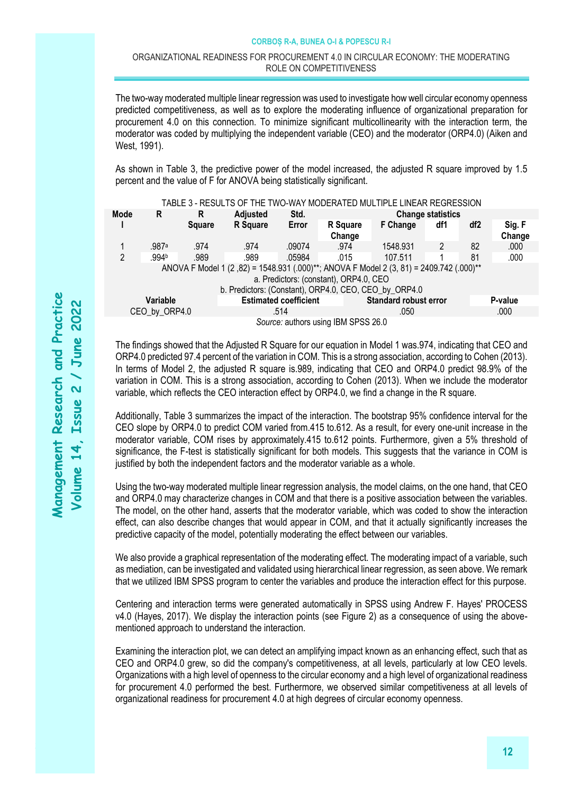#### ORGANIZATIONAL READINESS FOR PROCUREMENT 4.0 IN CIRCULAR ECONOMY: THE MODERATING ROLE ON COMPETITIVENESS

The two-way moderated multiple linear regression was used to investigate how well circular economy openness predicted competitiveness, as well as to explore the moderating influence of organizational preparation for procurement 4.0 on this connection. To minimize significant multicollinearity with the interaction term, the moderator was coded by multiplying the independent variable (CEO) and the moderator (ORP4.0) (Aiken and West, 1991).

As shown in Table 3, the predictive power of the model increased, the adjusted R square improved by 1.5 percent and the value of F for ANOVA being statistically significant.

|                                                                                                                                                                                            |                                     |        |                              |        |                              | TABLE 3 - RESULTS OF THE TWO-WAY MODERATED MULTIPLE LINEAR REGRESSION |                |         |                  |
|--------------------------------------------------------------------------------------------------------------------------------------------------------------------------------------------|-------------------------------------|--------|------------------------------|--------|------------------------------|-----------------------------------------------------------------------|----------------|---------|------------------|
| Mode                                                                                                                                                                                       | R                                   | R      | <b>Adjusted</b>              | Std.   | <b>Change statistics</b>     |                                                                       |                |         |                  |
|                                                                                                                                                                                            |                                     | Square | R Square                     | Error  | R Square<br>Change           | <b>F</b> Change                                                       | df1            | df2     | Sig. F<br>Change |
|                                                                                                                                                                                            | .987a                               | .974   | .974                         | .09074 | .974                         | 1548.931                                                              | $\overline{2}$ | 82      | .000             |
| $\mathfrak{p}$                                                                                                                                                                             | .994b                               | .989   | .989                         | .05984 | .015                         | 107.511                                                               |                | 81      | .000             |
| ANOVA F Model 1 (2,82) = 1548.931 (.000)**; ANOVA F Model 2 (3, 81) = 2409.742 (.000)**<br>a. Predictors: (constant), ORP4.0, CEO<br>b. Predictors: (Constant), ORP4.0, CEO, CEO_by_ORP4.0 |                                     |        |                              |        |                              |                                                                       |                |         |                  |
| Variable                                                                                                                                                                                   |                                     |        | <b>Estimated coefficient</b> |        | <b>Standard robust error</b> |                                                                       |                | P-value |                  |
| CEO_by_ORP4.0                                                                                                                                                                              |                                     |        |                              | .514   |                              | .050                                                                  |                |         | .000             |
|                                                                                                                                                                                            | Source: authors using IBM SPSS 26.0 |        |                              |        |                              |                                                                       |                |         |                  |

The findings showed that the Adjusted R Square for our equation in Model 1 was.974, indicating that CEO and ORP4.0 predicted 97.4 percent of the variation in COM. This is a strong association, according to Cohen (2013). In terms of Model 2, the adjusted R square is.989, indicating that CEO and ORP4.0 predict 98.9% of the variation in COM. This is a strong association, according to Cohen (2013). When we include the moderator variable, which reflects the CEO interaction effect by ORP4.0, we find a change in the R square.

Additionally, Table 3 summarizes the impact of the interaction. The bootstrap 95% confidence interval for the CEO slope by ORP4.0 to predict COM varied from.415 to.612. As a result, for every one-unit increase in the moderator variable, COM rises by approximately.415 to.612 points. Furthermore, given a 5% threshold of significance, the F-test is statistically significant for both models. This suggests that the variance in COM is justified by both the independent factors and the moderator variable as a whole.

Using the two-way moderated multiple linear regression analysis, the model claims, on the one hand, that CEO and ORP4.0 may characterize changes in COM and that there is a positive association between the variables. The model, on the other hand, asserts that the moderator variable, which was coded to show the interaction effect, can also describe changes that would appear in COM, and that it actually significantly increases the predictive capacity of the model, potentially moderating the effect between our variables.

We also provide a graphical representation of the moderating effect. The moderating impact of a variable, such as mediation, can be investigated and validated using hierarchical linear regression, as seen above. We remark that we utilized IBM SPSS program to center the variables and produce the interaction effect for this purpose.

Centering and interaction terms were generated automatically in SPSS using Andrew F. Hayes' PROCESS v4.0 (Hayes, 2017). We display the interaction points (see Figure 2) as a consequence of using the abovementioned approach to understand the interaction.

Examining the interaction plot, we can detect an amplifying impact known as an enhancing effect, such that as CEO and ORP4.0 grew, so did the company's competitiveness, at all levels, particularly at low CEO levels. Organizations with a high level of openness to the circular economy and a high level of organizational readiness for procurement 4.0 performed the best. Furthermore, we observed similar competitiveness at all levels of organizational readiness for procurement 4.0 at high degrees of circular economy openness.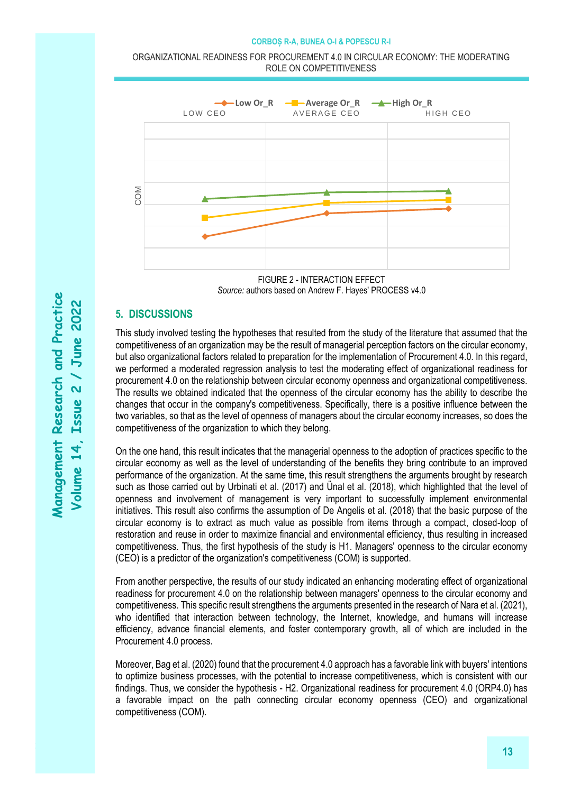ORGANIZATIONAL READINESS FOR PROCUREMENT 4.0 IN CIRCULAR ECONOMY: THE MODERATING ROLE ON COMPETITIVENESS



FIGURE 2 - INTERACTION EFFECT *Source:* authors based on Andrew F. Hayes' PROCESS v4.0

# **5. DISCUSSIONS**

This study involved testing the hypotheses that resulted from the study of the literature that assumed that the competitiveness of an organization may be the result of managerial perception factors on the circular economy, but also organizational factors related to preparation for the implementation of Procurement 4.0. In this regard, we performed a moderated regression analysis to test the moderating effect of organizational readiness for procurement 4.0 on the relationship between circular economy openness and organizational competitiveness. The results we obtained indicated that the openness of the circular economy has the ability to describe the changes that occur in the company's competitiveness. Specifically, there is a positive influence between the two variables, so that as the level of openness of managers about the circular economy increases, so does the competitiveness of the organization to which they belong.

On the one hand, this result indicates that the managerial openness to the adoption of practices specific to the circular economy as well as the level of understanding of the benefits they bring contribute to an improved performance of the organization. At the same time, this result strengthens the arguments brought by research such as those carried out by Urbinati et al. (2017) and Ünal et al. (2018), which highlighted that the level of openness and involvement of management is very important to successfully implement environmental initiatives. This result also confirms the assumption of De Angelis et al. (2018) that the basic purpose of the circular economy is to extract as much value as possible from items through a compact, closed-loop of restoration and reuse in order to maximize financial and environmental efficiency, thus resulting in increased competitiveness. Thus, the first hypothesis of the study is H1. Managers' openness to the circular economy (CEO) is a predictor of the organization's competitiveness (COM) is supported.

From another perspective, the results of our study indicated an enhancing moderating effect of organizational readiness for procurement 4.0 on the relationship between managers' openness to the circular economy and competitiveness. This specific result strengthens the arguments presented in the research of Nara et al. (2021), who identified that interaction between technology, the Internet, knowledge, and humans will increase efficiency, advance financial elements, and foster contemporary growth, all of which are included in the Procurement 4.0 process.

Moreover, Bag et al. (2020) found that the procurement 4.0 approach has a favorable link with buyers' intentions to optimize business processes, with the potential to increase competitiveness, which is consistent with our findings. Thus, we consider the hypothesis - H2. Organizational readiness for procurement 4.0 (ORP4.0) has a favorable impact on the path connecting circular economy openness (CEO) and organizational competitiveness (COM).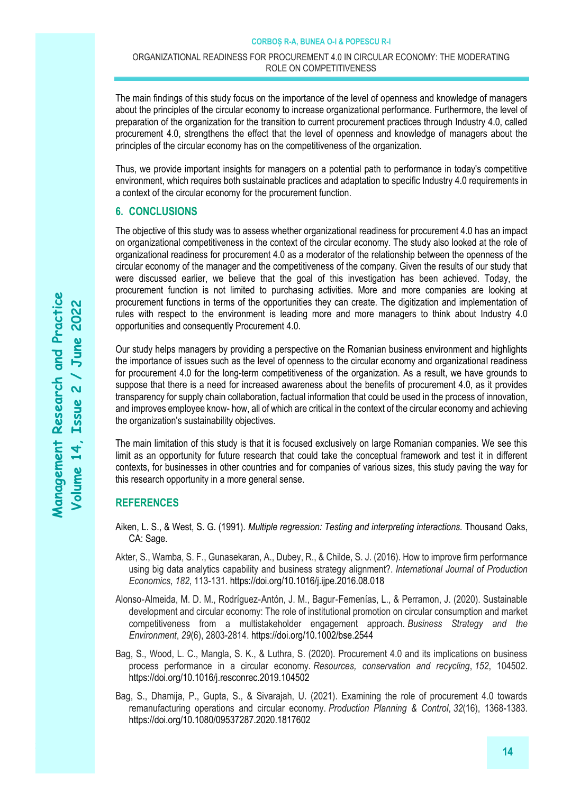The main findings of this study focus on the importance of the level of openness and knowledge of managers about the principles of the circular economy to increase organizational performance. Furthermore, the level of preparation of the organization for the transition to current procurement practices through Industry 4.0, called procurement 4.0, strengthens the effect that the level of openness and knowledge of managers about the principles of the circular economy has on the competitiveness of the organization.

Thus, we provide important insights for managers on a potential path to performance in today's competitive environment, which requires both sustainable practices and adaptation to specific Industry 4.0 requirements in a context of the circular economy for the procurement function.

# **6. CONCLUSIONS**

The objective of this study was to assess whether organizational readiness for procurement 4.0 has an impact on organizational competitiveness in the context of the circular economy. The study also looked at the role of organizational readiness for procurement 4.0 as a moderator of the relationship between the openness of the circular economy of the manager and the competitiveness of the company. Given the results of our study that were discussed earlier, we believe that the goal of this investigation has been achieved. Today, the procurement function is not limited to purchasing activities. More and more companies are looking at procurement functions in terms of the opportunities they can create. The digitization and implementation of rules with respect to the environment is leading more and more managers to think about Industry 4.0 opportunities and consequently Procurement 4.0.

Our study helps managers by providing a perspective on the Romanian business environment and highlights the importance of issues such as the level of openness to the circular economy and organizational readiness for procurement 4.0 for the long-term competitiveness of the organization. As a result, we have grounds to suppose that there is a need for increased awareness about the benefits of procurement 4.0, as it provides transparency for supply chain collaboration, factual information that could be used in the process of innovation, and improves employee know- how, all of which are critical in the context of the circular economy and achieving the organization's sustainability objectives.

The main limitation of this study is that it is focused exclusively on large Romanian companies. We see this limit as an opportunity for future research that could take the conceptual framework and test it in different contexts, for businesses in other countries and for companies of various sizes, this study paving the way for this research opportunity in a more general sense.

# **REFERENCES**

- Aiken, L. S., & West, S. G. (1991). *Multiple regression: Testing and interpreting interactions.* Thousand Oaks, CA: Sage.
- Akter, S., Wamba, S. F., Gunasekaran, A., Dubey, R., & Childe, S. J. (2016). How to improve firm performance using big data analytics capability and business strategy alignment?. *International Journal of Production Economics*, *182*, 113-131.<https://doi.org/10.1016/j.ijpe.2016.08.018>
- Alonso‐Almeida, M. D. M., Rodríguez‐Antón, J. M., Bagur‐Femenías, L., & Perramon, J. (2020). Sustainable development and circular economy: The role of institutional promotion on circular consumption and market competitiveness from a multistakeholder engagement approach. *Business Strategy and the Environment*, *29*(6), 2803-2814[. https://doi.org/10.1002/bse.2544](https://doi.org/10.1002/bse.2544)
- Bag, S., Wood, L. C., Mangla, S. K., & Luthra, S. (2020). Procurement 4.0 and its implications on business process performance in a circular economy. *Resources, conservation and recycling*, *152*, 104502. <https://doi.org/10.1016/j.resconrec.2019.104502>
- Bag, S., Dhamija, P., Gupta, S., & Sivarajah, U. (2021). Examining the role of procurement 4.0 towards remanufacturing operations and circular economy. *Production Planning & Control*, *32*(16), 1368-1383. <https://doi.org/10.1080/09537287.2020.1817602>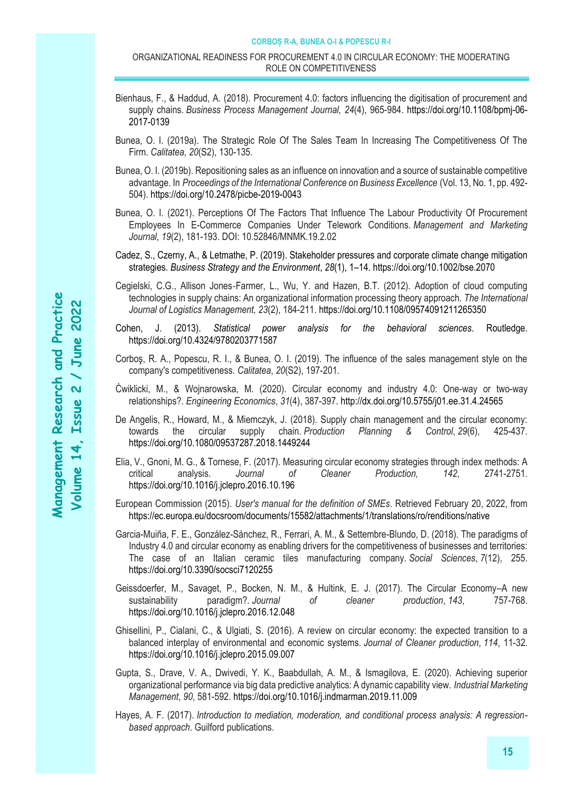#### ORGANIZATIONAL READINESS FOR PROCUREMENT 4.0 IN CIRCULAR ECONOMY: THE MODERATING ROLE ON COMPETITIVENESS

- Bienhaus, F., & Haddud, A. (2018). Procurement 4.0: factors influencing the digitisation of procurement and supply chains. *Business Process Management Journal, 24*(4), 965-984. [https://doi.org/10.1108/bpmj-06-](https://doi.org/10.1108/bpmj-06-2017-0139) [2017-0139](https://doi.org/10.1108/bpmj-06-2017-0139)
- Bunea, O. I. (2019a). The Strategic Role Of The Sales Team In Increasing The Competitiveness Of The Firm. *Calitatea*, *20*(S2), 130-135.
- Bunea, O. I. (2019b). Repositioning sales as an influence on innovation and a source of sustainable competitive advantage. In *Proceedings of the International Conference on Business Excellence* (Vol. 13, No. 1, pp. 492- 504)[. https://doi.org/10.2478/picbe-2019-0043](https://doi.org/10.2478/picbe-2019-0043)
- Bunea, O. I. (2021). Perceptions Of The Factors That Influence The Labour Productivity Of Procurement Employees In E-Commerce Companies Under Telework Conditions. *Management and Marketing Journal*, *19*(2), 181-193. DOI: 10.52846/MNMK.19.2.02
- Cadez, S., Czerny, A., & Letmathe, P. (2019). Stakeholder pressures and corporate climate change mitigation strategies. *Business Strategy and the Environment*, *28*(1), 1–14[. https://doi.org/10.1002/bse.2070](https://doi.org/10.1002/bse.2070)
- Cegielski, C.G., Allison Jones‐Farmer, L., Wu, Y. and Hazen, B.T. (2012). Adoption of cloud computing technologies in supply chains: An organizational information processing theory approach. *The International Journal of Logistics Management, 23*(2), 184-211.<https://doi.org/10.1108/09574091211265350>
- Cohen, J. (2013). *Statistical power analysis for the behavioral sciences*. Routledge. <https://doi.org/10.4324/9780203771587>
- Corboş, R. A., Popescu, R. I., & Bunea, O. I. (2019). The influence of the sales management style on the company's competitiveness. *Calitatea*, *20*(S2), 197-201.
- Ćwiklicki, M., & Wojnarowska, M. (2020). Circular economy and industry 4.0: One-way or two-way relationships?. *Engineering Economics*, *31*(4), 387-397.<http://dx.doi.org/10.5755/j01.ee.31.4.24565>
- De Angelis, R., Howard, M., & Miemczyk, J. (2018). Supply chain management and the circular economy: towards the circular supply chain. *Production Planning & Control*, *29*(6), 425-437. <https://doi.org/10.1080/09537287.2018.1449244>
- Elia, V., Gnoni, M. G., & Tornese, F. (2017). Measuring circular economy strategies through index methods: A critical analysis. *Journal of Cleaner Production, 142*, 2741-2751. <https://doi.org/10.1016/j.jclepro.2016.10.196>
- European Commission (2015). *User's manual for the definition of SMEs*. Retrieved February 20, 2022, from <https://ec.europa.eu/docsroom/documents/15582/attachments/1/translations/ro/renditions/native>
- Garcia-Muiña, F. E., González-Sánchez, R., Ferrari, A. M., & Settembre-Blundo, D. (2018). The paradigms of Industry 4.0 and circular economy as enabling drivers for the competitiveness of businesses and territories: The case of an Italian ceramic tiles manufacturing company. *Social Sciences*, *7*(12), 255. <https://doi.org/10.3390/socsci7120255>
- Geissdoerfer, M., Savaget, P., Bocken, N. M., & Hultink, E. J. (2017). The Circular Economy–A new sustainability paradigm?. *Journal of cleaner production*, *143*, 757-768. <https://doi.org/10.1016/j.jclepro.2016.12.048>
- Ghisellini, P., Cialani, C., & Ulgiati, S. (2016). A review on circular economy: the expected transition to a balanced interplay of environmental and economic systems. *Journal of Cleaner production*, *114*, 11-32. <https://doi.org/10.1016/j.jclepro.2015.09.007>
- Gupta, S., Drave, V. A., Dwivedi, Y. K., Baabdullah, A. M., & Ismagilova, E. (2020). Achieving superior organizational performance via big data predictive analytics: A dynamic capability view. *Industrial Marketing Management*, *90*, 581-592. https://doi.org/10.1016/j.indmarman.2019.11.009
- Hayes, A. F. (2017). *Introduction to mediation, moderation, and conditional process analysis: A regressionbased approach*. Guilford publications.